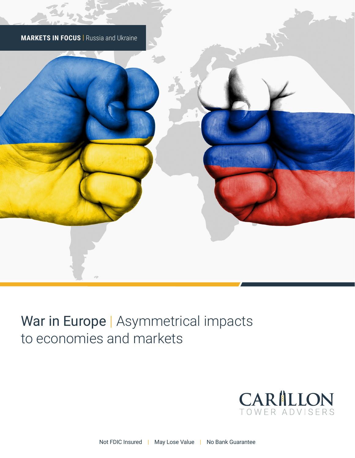

# War in Europe | Asymmetrical impacts to economies and markets

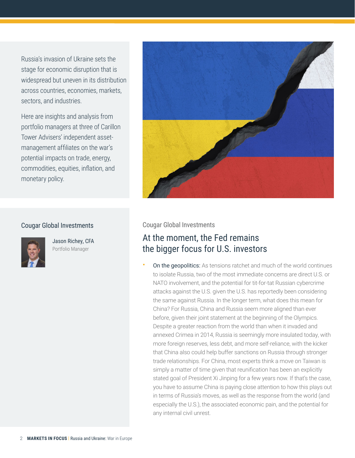Russia's invasion of Ukraine sets the stage for economic disruption that is widespread but uneven in its distribution across countries, economies, markets, sectors, and industries.

Here are insights and analysis from portfolio managers at three of Carillon Tower Advisers' independent assetmanagement affiliates on the war's potential impacts on trade, energy, commodities, equities, inflation, and monetary policy.



### Cougar Global Investments



Jason Richey, CFA Portfolio Manager

### Cougar Global Investments

### At the moment, the Fed remains the bigger focus for U.S. investors

On the geopolitics: As tensions ratchet and much of the world continues to isolate Russia, two of the most immediate concerns are direct U.S. or NATO involvement, and the potential for tit-for-tat Russian cybercrime attacks against the U.S. given the U.S. has reportedly been considering the same against Russia. In the longer term, what does this mean for China? For Russia, China and Russia seem more aligned than ever before, given their joint statement at the beginning of the Olympics. Despite a greater reaction from the world than when it invaded and annexed Crimea in 2014, Russia is seemingly more insulated today, with more foreign reserves, less debt, and more self-reliance, with the kicker that China also could help buffer sanctions on Russia through stronger trade relationships. For China, most experts think a move on Taiwan is simply a matter of time given that reunification has been an explicitly stated goal of President Xi Jinping for a few years now. If that's the case, you have to assume China is paying close attention to how this plays out in terms of Russia's moves, as well as the response from the world (and especially the U.S.), the associated economic pain, and the potential for any internal civil unrest.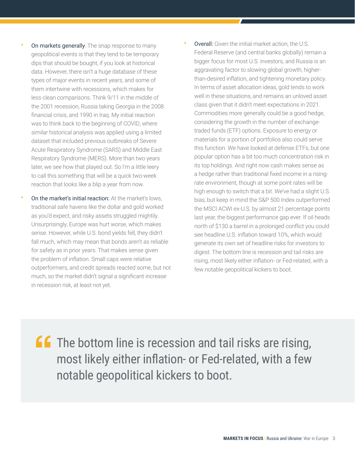bias, but keep in mind the S&P 500 Index outperformed the MSCI ACWI ex-U.S. by almost 21 percentage points last year, the biggest performance gap ever. If oil heads north of \$130 a barrel in a prolonged conflict you could see headline U.S. inflation toward 10%, which would generate its own set of headline risks for investors to digest. The bottom line is recession and tail risks are rising, most likely either inflation- or Fed-related, with a

few notable geopolitical kickers to boot.

**ff** The bottom line is recession and tail risks are rising, most likely either inflation- or Fed-related, with a few notable geopolitical kickers to boot.

later, we see how that played out. So I'm a little leery to call this something that will be a quick two-week reaction that looks like a blip a year from now. **On the market's initial reaction:** At the market's lows, traditional safe havens like the dollar and gold worked as you'd expect, and risky assets struggled mightily. Unsurprisingly, Europe was hurt worse, which makes sense. However, while U.S. bond yields fell, they didn't fall much, which may mean that bonds aren't as reliable for safety as in prior years. That makes sense given the problem of inflation. Small caps were relative outperformers, and credit spreads reacted some, but not much, so the market didn't signal a significant increase

in recession risk, at least not yet.

- 
- **Overall:** Given the initial market action, the U.S. Federal Reserve (and central banks globally) remain a bigger focus for most U.S. investors, and Russia is an aggravating factor to slowing global growth, higherthan-desired inflation, and tightening monetary policy. In terms of asset allocation ideas, gold tends to work well in these situations, and remains an unloved asset class given that it didn't meet expectations in 2021. Commodities more generally could be a good hedge, considering the growth in the number of exchangetraded funds (ETF) options. Exposure to energy or materials for a portion of portfolios also could serve this function. We have looked at defense ETFs, but one popular option has a bit too much concentration risk in its top holdings. And right now cash makes sense as a hedge rather than traditional fixed income in a risingrate environment, though at some point rates will be high enough to switch that a bit. We've had a slight U.S. On markets generally: The snap response to many geopolitical events is that they tend to be temporary dips that should be bought, if you look at historical data. However, there isn't a huge database of these types of major events in recent years, and some of them intertwine with recessions, which makes for less clean comparisons. Think 9/11 in the middle of the 2001 recession, Russia taking Georgia in the 2008 financial crisis, and 1990 in Iraq. My initial reaction was to think back to the beginning of COVID, where similar historical analysis was applied using a limited dataset that included previous outbreaks of Severe Acute Respiratory Syndrome (SARS) and Middle East Respiratory Syndrome (MERS). More than two years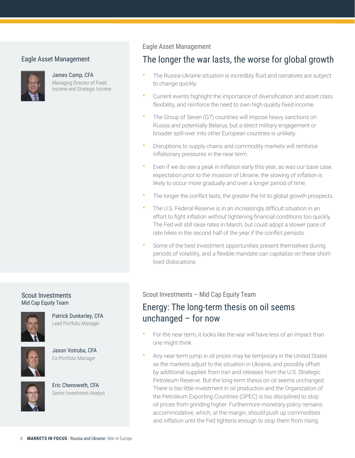### Eagle Asset Management



James Camp, CFA Managing Director of Fixed Income and Strategic Income

### Eagle Asset Management

### The longer the war lasts, the worse for global growth

- The Russia-Ukraine situation is incredibly fluid and narratives are subject to change quickly.
- Current events highlight the importance of diversification and asset class flexibility, and reinforce the need to own high-quality fixed income.
- The Group of Seven (G7) countries will impose heavy sanctions on Russia and potentially Belarus, but a direct military engagement or broader spill-over into other European countries is unlikely.
- Disruptions to supply chains and commodity markets will reinforce inflationary pressures in the near term.
- Even if we do see a peak in inflation early this year, as was our base case expectation prior to the invasion of Ukraine, the slowing of inflation is likely to occur more gradually and over a longer period of time.
- The longer the conflict lasts, the greater the hit to global growth prospects.
- The U.S. Federal Reserve is in an increasingly difficult situation in an effort to fight inflation without tightening financial conditions too quickly. The Fed will still raise rates in March, but could adopt a slower pace of rate hikes in the second half of the year if the conflict persists.
- Some of the best investment opportunities present themselves during periods of volatility, and a flexible mandate can capitalize on these shortlived dislocations.

### Scout Investments Mid Cap Equity Team



Patrick Dunkerley, CFA Lead Portfolio Manager



Jason Votruba, CFA



Co-Portfolio Manager

Eric Chenoweth, CFA Senior Investment Analyst Scout Investments – Mid Cap Equity Team

### Energy: The long-term thesis on oil seems unchanged – for now

- For the near term, it looks like the war will have less of an impact than one might think.
- Any near-term jump in oil prices may be temporary in the United States as the markets adjust to the situation in Ukraine, and possibly offset by additional supplies from Iran and releases from the U.S. Strategic Petroleum Reserve. But the long-term thesis on oil seems unchanged. There is too little investment in oil production and the Organization of the Petroleum Exporting Countries (OPEC) is too disciplined to stop oil prices from grinding higher. Furthermore monetary policy remains accommodative, which, at the margin, should push up commodities and inflation until the Fed tightens enough to stop them from rising.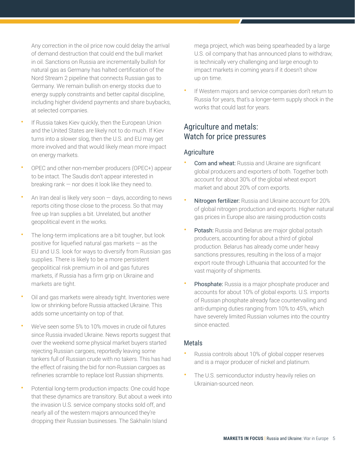Any correction in the oil price now could delay the arrival of demand destruction that could end the bull market in oil. Sanctions on Russia are incrementally bullish for natural gas as Germany has halted certification of the Nord Stream 2 pipeline that connects Russian gas to Germany. We remain bullish on energy stocks due to energy supply constraints and better capital discipline, including higher dividend payments and share buybacks, at selected companies.

- If Russia takes Kiev quickly, then the European Union and the United States are likely not to do much. If Kiev turns into a slower slog, then the U.S. and EU may get more involved and that would likely mean more impact on energy markets.
- OPEC and other non-member producers (OPEC+) appear to be intact. The Saudis don't appear interested in breaking rank — nor does it look like they need to.
- An Iran deal is likely very soon  $-$  days, according to news reports citing those close to the process. So that may free up Iran supplies a bit. Unrelated, but another geopolitical event in the works.
- The long-term implications are a bit tougher, but look positive for liquefied natural gas markets — as the EU and U.S. look for ways to diversify from Russian gas supplies. There is likely to be a more persistent geopolitical risk premium in oil and gas futures markets, if Russia has a firm grip on Ukraine and markets are tight.
- Oil and gas markets were already tight. Inventories were low or shrinking before Russia attacked Ukraine. This adds some uncertainty on top of that.
- We've seen some 5% to 10% moves in crude oil futures since Russia invaded Ukraine. News reports suggest that over the weekend some physical market buyers started rejecting Russian cargoes, reportedly leaving some tankers full of Russian crude with no takers. This has had the effect of raising the bid for non-Russian cargoes as refineries scramble to replace lost Russian shipments.
- Potential long-term production impacts: One could hope that these dynamics are transitory. But about a week into the invasion U.S. service company stocks sold off, and nearly all of the western majors announced they're dropping their Russian businesses. The Sakhalin Island

mega project, which was being spearheaded by a large U.S. oil company that has announced plans to withdraw, is technically very challenging and large enough to impact markets in coming years if it doesn't show up on time.

If Western majors and service companies don't return to Russia for years, that's a longer-term supply shock in the works that could last for years.

### Agriculture and metals: Watch for price pressures

### **Agriculture**

- Corn and wheat: Russia and Ukraine are significant global producers and exporters of both. Together both account for about 30% of the global wheat export market and about 20% of corn exports.
- Nitrogen fertilizer: Russia and Ukraine account for 20% of global nitrogen production and exports. Higher natural gas prices in Europe also are raising production costs
- Potash: Russia and Belarus are major global potash producers, accounting for about a third of global production. Belarus has already come under heavy sanctions pressures, resulting in the loss of a major export route through Lithuania that accounted for the vast majority of shipments.
- Phosphate: Russia is a major phosphate producer and accounts for about 10% of global exports. U.S. imports of Russian phosphate already face countervailing and anti-dumping duties ranging from 10% to 45%, which have severely limited Russian volumes into the country since enacted.

### Metals

- Russia controls about 10% of global copper reserves and is a major producer of nickel and platinum.
- The U.S. semiconductor industry heavily relies on Ukrainian-sourced neon.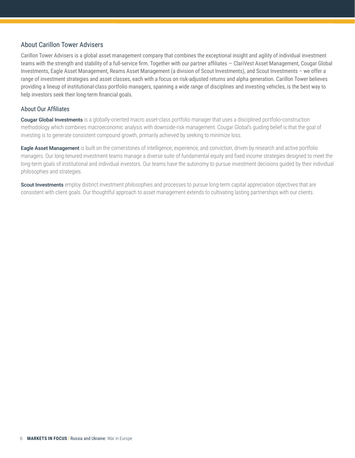### About Carillon Tower Advisers

Carillon Tower Advisers is a global asset management company that combines the exceptional insight and agility of individual investment teams with the strength and stability of a full-service firm. Together with our partner affiliates - ClariVest Asset Management, Cougar Global Investments, Eagle Asset Management, Reams Asset Management (a division of Scout Investments), and Scout Investments – we offer a range of investment strategies and asset classes, each with a focus on risk-adjusted returns and alpha generation. Carillon Tower believes providing a lineup of institutional-class portfolio managers, spanning a wide range of disciplines and investing vehicles, is the best way to help investors seek their long-term financial goals.

#### About Our Affiliates

Cougar Global Investments is a globally-oriented macro asset-class portfolio manager that uses a disciplined portfolio-construction methodology which combines macroeconomic analysis with downside-risk management. Cougar Global's guiding belief is that the goal of investing is to generate consistent compound growth, primarily achieved by seeking to minimize loss.

Eagle Asset Management is built on the cornerstones of intelligence, experience, and conviction, driven by research and active portfolio managers. Our long-tenured investment teams manage a diverse suite of fundamental equity and fixed income strategies designed to meet the long-term goals of institutional and individual investors. Our teams have the autonomy to pursue investment decisions guided by their individual philosophies and strategies.

Scout Investments employ distinct investment philosophies and processes to pursue long-term capital appreciation objectives that are consistent with client goals. Our thoughtful approach to asset management extends to cultivating lasting partnerships with our clients.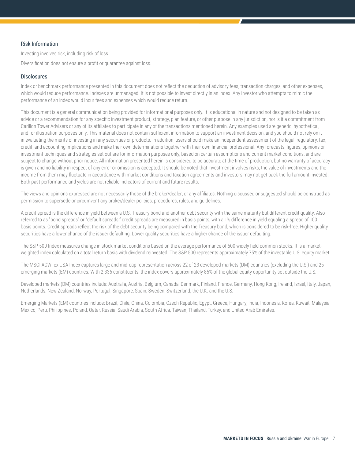#### Risk Information

Investing involves risk, including risk of loss.

Diversification does not ensure a profit or guarantee against loss.

#### **Disclosures**

Index or benchmark performance presented in this document does not reflect the deduction of advisory fees, transaction charges, and other expenses, which would reduce performance. Indexes are unmanaged. It is not possible to invest directly in an index. Any investor who attempts to mimic the performance of an index would incur fees and expenses which would reduce return.

This document is a general communication being provided for informational purposes only. It is educational in nature and not designed to be taken as advice or a recommendation for any specific investment product, strategy, plan feature, or other purpose in any jurisdiction, nor is it a commitment from Carillon Tower Advisers or any of its affiliates to participate in any of the transactions mentioned herein. Any examples used are generic, hypothetical, and for illustration purposes only. This material does not contain sufficient information to support an investment decision, and you should not rely on it in evaluating the merits of investing in any securities or products. In addition, users should make an independent assessment of the legal, regulatory, tax, credit, and accounting implications and make their own determinations together with their own financial professional. Any forecasts, figures, opinions or investment techniques and strategies set out are for information purposes only, based on certain assumptions and current market conditions, and are subject to change without prior notice. All information presented herein is considered to be accurate at the time of production, but no warranty of accuracy is given and no liability in respect of any error or omission is accepted. It should be noted that investment involves risks, the value of investments and the income from them may fluctuate in accordance with market conditions and taxation agreements and investors may not get back the full amount invested. Both past performance and yields are not reliable indicators of current and future results.

The views and opinions expressed are not necessarily those of the broker/dealer; or any affiliates. Nothing discussed or suggested should be construed as permission to supersede or circumvent any broker/dealer policies, procedures, rules, and guidelines.

A credit spread is the difference in yield between a U.S. Treasury bond and another debt security with the same maturity but different credit quality. Also referred to as "bond spreads" or "default spreads," credit spreads are measured in basis points, with a 1% difference in yield equaling a spread of 100 basis points. Credit spreads reflect the risk of the debt security being compared with the Treasury bond, which is considered to be risk-free. Higher quality securities have a lower chance of the issuer defaulting. Lower quality securities have a higher chance of the issuer defaulting.

The S&P 500 Index measures change in stock market conditions based on the average performance of 500 widely held common stocks. It is a marketweighted index calculated on a total return basis with dividend reinvested. The S&P 500 represents approximately 75% of the investable U.S. equity market.

The MSCI ACWI ex USA Index captures large and mid-cap representation across 22 of 23 developed markets (DM) countries (excluding the U.S.) and 25 emerging markets (EM) countries. With 2,336 constituents, the index covers approximately 85% of the global equity opportunity set outside the U.S.

Developed markets (DM) countries include: Australia, Austria, Belgium, Canada, Denmark, Finland, France, Germany, Hong Kong, Ireland, Israel, Italy, Japan, Netherlands, New Zealand, Norway, Portugal, Singapore, Spain, Sweden, Switzerland, the U.K. and the U.S.

Emerging Markets (EM) countries include: Brazil, Chile, China, Colombia, Czech Republic, Egypt, Greece, Hungary, India, Indonesia, Korea, Kuwait, Malaysia, Mexico, Peru, Philippines, Poland, Qatar, Russia, Saudi Arabia, South Africa, Taiwan, Thailand, Turkey, and United Arab Emirates.